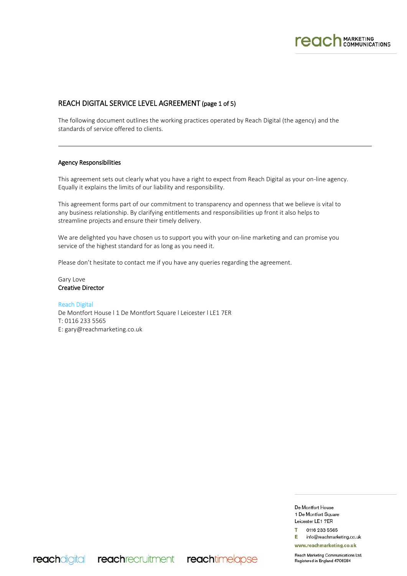

# REACH DIGITAL SERVICE LEVEL AGREEMENT (page 1 of 5)

The following document outlines the working practices operated by Reach Digital (the agency) and the standards of service offered to clients.

#### Agency Responsibilities

This agreement sets out clearly what you have a right to expect from Reach Digital as your on-line agency. Equally it explains the limits of our liability and responsibility.

This agreement forms part of our commitment to transparency and openness that we believe is vital to any business relationship. By clarifying entitlements and responsibilities up front it also helps to streamline projects and ensure their timely delivery.

We are delighted you have chosen us to support you with your on-line marketing and can promise you service of the highest standard for as long as you need it.

Please don't hesitate to contact me if you have any queries regarding the agreement.

Gary Love Creative Director

Reach Digital De Montfort House l 1 De Montfort Square l Leicester l LE1 7ER T: 0116 233 5565 E: gary@reachmarketing.co.uk

reachdigital reachrecruitment reachtimelapse

De Montfort House 1 De Montfort Square Leicester LE1 7ER

0116 233 5565 Е info@reachmarketing.co.uk

www.reachmarketing.co.uk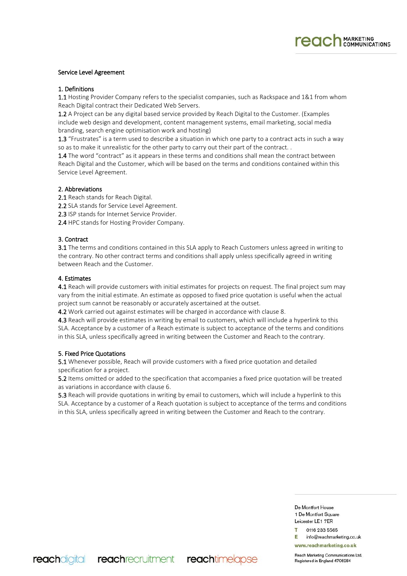

## Service Level Agreement

#### 1. Definitions

1.1 Hosting Provider Company refers to the specialist companies, such as Rackspace and 1&1 from whom Reach Digital contract their Dedicated Web Servers.

1.2 A Project can be any digital based service provided by Reach Digital to the Customer. (Examples include web design and development, content management systems, email marketing, social media branding, search engine optimisation work and hosting)

1.3 "Frustrates" is a term used to describe a situation in which one party to a contract acts in such a way so as to make it unrealistic for the other party to carry out their part of the contract. .

1.4 The word "contract" as it appears in these terms and conditions shall mean the contract between Reach Digital and the Customer, which will be based on the terms and conditions contained within this Service Level Agreement.

## 2. Abbreviations

2.1 Reach stands for Reach Digital.

2.2 SLA stands for Service Level Agreement.

2.3 ISP stands for Internet Service Provider.

2.4 HPC stands for Hosting Provider Company.

## 3. Contract

**3.1** The terms and conditions contained in this SLA apply to Reach Customers unless agreed in writing to the contrary. No other contract terms and conditions shall apply unless specifically agreed in writing between Reach and the Customer.

## 4. Estimates

4.1 Reach will provide customers with initial estimates for projects on request. The final project sum may vary from the initial estimate. An estimate as opposed to fixed price quotation is useful when the actual project sum cannot be reasonably or accurately ascertained at the outset.

4.2 Work carried out against estimates will be charged in accordance with clause 8.

4.3 Reach will provide estimates in writing by email to customers, which will include a hyperlink to this SLA. Acceptance by a customer of a Reach estimate is subject to acceptance of the terms and conditions in this SLA, unless specifically agreed in writing between the Customer and Reach to the contrary.

## 5. Fixed Price Quotations

5.1 Whenever possible, Reach will provide customers with a fixed price quotation and detailed specification for a project.

5.2 Items omitted or added to the specification that accompanies a fixed price quotation will be treated as variations in accordance with clause 6.

5.3 Reach will provide quotations in writing by email to customers, which will include a hyperlink to this SLA. Acceptance by a customer of a Reach quotation is subject to acceptance of the terms and conditions in this SLA, unless specifically agreed in writing between the Customer and Reach to the contrary.

> De Montfort House 1 De Montfort Square Leicester LE1 7ER

0116 233 5565 info@reachmarketing.co.uk Е.

www.reachmarketing.co.uk

reachdigital reachrecruitment reachtimelapse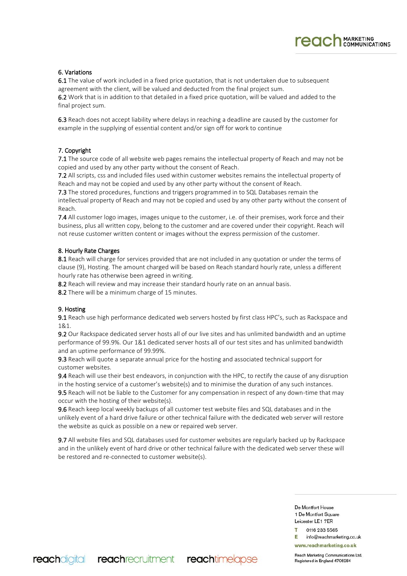# **reach** MARKETING

# 6. Variations

6.1 The value of work included in a fixed price quotation, that is not undertaken due to subsequent agreement with the client, will be valued and deducted from the final project sum.

6.2 Work that is in addition to that detailed in a fixed price quotation, will be valued and added to the final project sum.

6.3 Reach does not accept liability where delays in reaching a deadline are caused by the customer for example in the supplying of essential content and/or sign off for work to continue

## 7. Copyright

7.1 The source code of all website web pages remains the intellectual property of Reach and may not be copied and used by any other party without the consent of Reach.

7.2 All scripts, css and included files used within customer websites remains the intellectual property of Reach and may not be copied and used by any other party without the consent of Reach.

7.3 The stored procedures, functions and triggers programmed in to SQL Databases remain the intellectual property of Reach and may not be copied and used by any other party without the consent of Reach.

7.4 All customer logo images, images unique to the customer, i.e. of their premises, work force and their business, plus all written copy, belong to the customer and are covered under their copyright. Reach will not reuse customer written content or images without the express permission of the customer.

## 8. Hourly Rate Charges

8.1 Reach will charge for services provided that are not included in any quotation or under the terms of clause (9), Hosting. The amount charged will be based on Reach standard hourly rate, unless a different hourly rate has otherwise been agreed in writing.

8.2 Reach will review and may increase their standard hourly rate on an annual basis.

8.2 There will be a minimum charge of 15 minutes.

reachdigital reachrearuitment reachtimelapse

## 9. Hosting

9.1 Reach use high performance dedicated web servers hosted by first class HPC's, such as Rackspace and 1&1.

9.2 Our Rackspace dedicated server hosts all of our live sites and has unlimited bandwidth and an uptime performance of 99.9%. Our 1&1 dedicated server hosts all of our test sites and has unlimited bandwidth and an uptime performance of 99.99%.

9.3 Reach will quote a separate annual price for the hosting and associated technical support for customer websites.

9.4 Reach will use their best endeavors, in conjunction with the HPC, to rectify the cause of any disruption in the hosting service of a customer's website(s) and to minimise the duration of any such instances.

9.5 Reach will not be liable to the Customer for any compensation in respect of any down-time that may occur with the hosting of their website(s).

9.6 Reach keep local weekly backups of all customer test website files and SQL databases and in the unlikely event of a hard drive failure or other technical failure with the dedicated web server will restore the website as quick as possible on a new or repaired web server.

9.7 All website files and SQL databases used for customer websites are regularly backed up by Rackspace and in the unlikely event of hard drive or other technical failure with the dedicated web server these will be restored and re-connected to customer website(s).

> De Montfort House 1 De Montfort Square Leicester LE1 7ER

0116 233 5565 info@reachmarketing.co.uk Е

www.reachmarketing.co.uk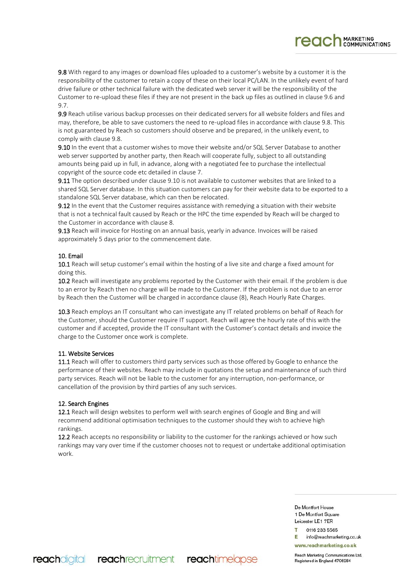9.8 With regard to any images or download files uploaded to a customer's website by a customer it is the responsibility of the customer to retain a copy of these on their local PC/LAN. In the unlikely event of hard drive failure or other technical failure with the dedicated web server it will be the responsibility of the Customer to re-upload these files if they are not present in the back up files as outlined in clause 9.6 and 9.7.

9.9 Reach utilise various backup processes on their dedicated servers for all website folders and files and may, therefore, be able to save customers the need to re-upload files in accordance with clause 9.8. This is not guaranteed by Reach so customers should observe and be prepared, in the unlikely event, to comply with clause 9.8.

9.10 In the event that a customer wishes to move their website and/or SQL Server Database to another web server supported by another party, then Reach will cooperate fully, subject to all outstanding amounts being paid up in full, in advance, along with a negotiated fee to purchase the intellectual copyright of the source code etc detailed in clause 7.

9.11 The option described under clause 9.10 is not available to customer websites that are linked to a shared SQL Server database. In this situation customers can pay for their website data to be exported to a standalone SQL Server database, which can then be relocated.

9.12 In the event that the Customer requires assistance with remedying a situation with their website that is not a technical fault caused by Reach or the HPC the time expended by Reach will be charged to the Customer in accordance with clause 8.

9.13 Reach will invoice for Hosting on an annual basis, yearly in advance. Invoices will be raised approximately 5 days prior to the commencement date.

# 10. Email

10.1 Reach will setup customer's email within the hosting of a live site and charge a fixed amount for doing this.

10.2 Reach will investigate any problems reported by the Customer with their email. If the problem is due to an error by Reach then no charge will be made to the Customer. If the problem is not due to an error by Reach then the Customer will be charged in accordance clause (8), Reach Hourly Rate Charges.

10.3 Reach employs an IT consultant who can investigate any IT related problems on behalf of Reach for the Customer, should the Customer require IT support. Reach will agree the hourly rate of this with the customer and if accepted, provide the IT consultant with the Customer's contact details and invoice the charge to the Customer once work is complete.

## 11. Website Services

11.1 Reach will offer to customers third party services such as those offered by Google to enhance the performance of their websites. Reach may include in quotations the setup and maintenance of such third party services. Reach will not be liable to the customer for any interruption, non-performance, or cancellation of the provision by third parties of any such services.

## 12. Search Engines

12.1 Reach will design websites to perform well with search engines of Google and Bing and will recommend additional optimisation techniques to the customer should they wish to achieve high rankings.

12.2 Reach accepts no responsibility or liability to the customer for the rankings achieved or how such rankings may vary over time if the customer chooses not to request or undertake additional optimisation work.

> De Montfort House 1 De Montfort Square Leicester LE1 7ER

0116 233 5565 info@reachmarketing.co.uk Е

**reach** MARKETING

www.reachmarketing.co.uk

Reach Marketing Communications Ltd. Registered in England 4706284

reachdigital reachrearuitment reachtimelapse